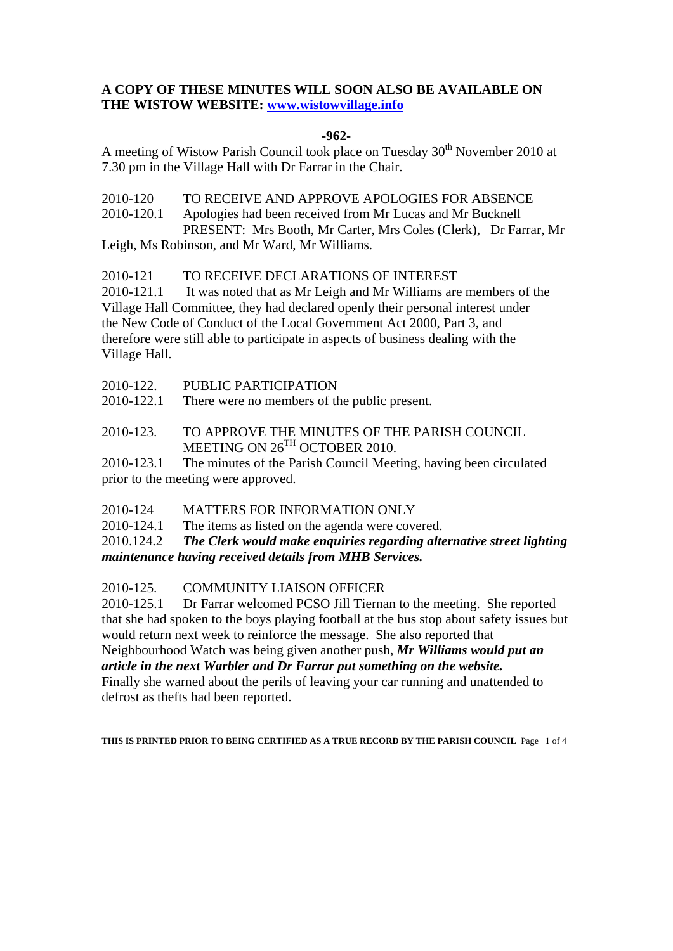# **A COPY OF THESE MINUTES WILL SOON ALSO BE AVAILABLE ON THE WISTOW WEBSITE: www.wistowvillage.info**

### **-962-**

A meeting of Wistow Parish Council took place on Tuesday 30<sup>th</sup> November 2010 at 7.30 pm in the Village Hall with Dr Farrar in the Chair.

2010-120 TO RECEIVE AND APPROVE APOLOGIES FOR ABSENCE 2010-120.1 Apologies had been received from Mr Lucas and Mr Bucknell PRESENT: Mrs Booth, Mr Carter, Mrs Coles (Clerk), Dr Farrar, Mr Leigh, Ms Robinson, and Mr Ward, Mr Williams.

2010-121 TO RECEIVE DECLARATIONS OF INTEREST

2010-121.1 It was noted that as Mr Leigh and Mr Williams are members of the Village Hall Committee, they had declared openly their personal interest under the New Code of Conduct of the Local Government Act 2000, Part 3, and therefore were still able to participate in aspects of business dealing with the Village Hall.

| 2010-122. | PUBLIC PARTICIPATION |
|-----------|----------------------|
|           |                      |

2010-122.1 There were no members of the public present.

2010-123. TO APPROVE THE MINUTES OF THE PARISH COUNCIL MEETING ON 26<sup>TH</sup> OCTOBER 2010.

2010-123.1 The minutes of the Parish Council Meeting, having been circulated prior to the meeting were approved.

2010-124 MATTERS FOR INFORMATION ONLY

2010-124.1 The items as listed on the agenda were covered.

2010.124.2 *The Clerk would make enquiries regarding alternative street lighting maintenance having received details from MHB Services.* 

2010-125. COMMUNITY LIAISON OFFICER

2010-125.1 Dr Farrar welcomed PCSO Jill Tiernan to the meeting. She reported that she had spoken to the boys playing football at the bus stop about safety issues but would return next week to reinforce the message. She also reported that Neighbourhood Watch was being given another push, *Mr Williams would put an article in the next Warbler and Dr Farrar put something on the website.*  Finally she warned about the perils of leaving your car running and unattended to defrost as thefts had been reported.

**THIS IS PRINTED PRIOR TO BEING CERTIFIED AS A TRUE RECORD BY THE PARISH COUNCIL** Page 1 of 4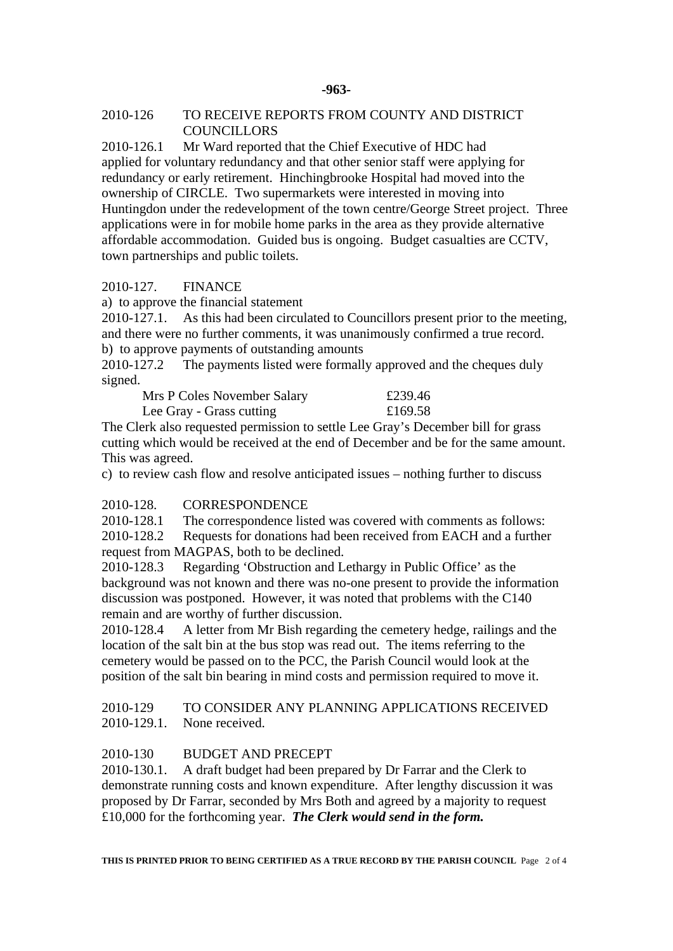### 2010-126 TO RECEIVE REPORTS FROM COUNTY AND DISTRICT **COUNCILLORS**

2010-126.1 Mr Ward reported that the Chief Executive of HDC had applied for voluntary redundancy and that other senior staff were applying for redundancy or early retirement. Hinchingbrooke Hospital had moved into the ownership of CIRCLE. Two supermarkets were interested in moving into Huntingdon under the redevelopment of the town centre/George Street project. Three applications were in for mobile home parks in the area as they provide alternative affordable accommodation. Guided bus is ongoing. Budget casualties are CCTV, town partnerships and public toilets.

## 2010-127. FINANCE

a) to approve the financial statement

2010-127.1. As this had been circulated to Councillors present prior to the meeting, and there were no further comments, it was unanimously confirmed a true record. b) to approve payments of outstanding amounts

2010-127.2 The payments listed were formally approved and the cheques duly signed.

Mrs P Coles November Salary £239.46 Lee Gray - Grass cutting £169.58

The Clerk also requested permission to settle Lee Gray's December bill for grass cutting which would be received at the end of December and be for the same amount. This was agreed.

c) to review cash flow and resolve anticipated issues – nothing further to discuss

## 2010-128. CORRESPONDENCE

2010-128.1 The correspondence listed was covered with comments as follows:

2010-128.2 Requests for donations had been received from EACH and a further request from MAGPAS, both to be declined.

2010-128.3 Regarding 'Obstruction and Lethargy in Public Office' as the background was not known and there was no-one present to provide the information discussion was postponed. However, it was noted that problems with the C140 remain and are worthy of further discussion.

2010-128.4 A letter from Mr Bish regarding the cemetery hedge, railings and the location of the salt bin at the bus stop was read out. The items referring to the cemetery would be passed on to the PCC, the Parish Council would look at the position of the salt bin bearing in mind costs and permission required to move it.

2010-129 TO CONSIDER ANY PLANNING APPLICATIONS RECEIVED 2010-129.1. None received.

## 2010-130 BUDGET AND PRECEPT

2010-130.1. A draft budget had been prepared by Dr Farrar and the Clerk to demonstrate running costs and known expenditure. After lengthy discussion it was proposed by Dr Farrar, seconded by Mrs Both and agreed by a majority to request £10,000 for the forthcoming year. *The Clerk would send in the form.*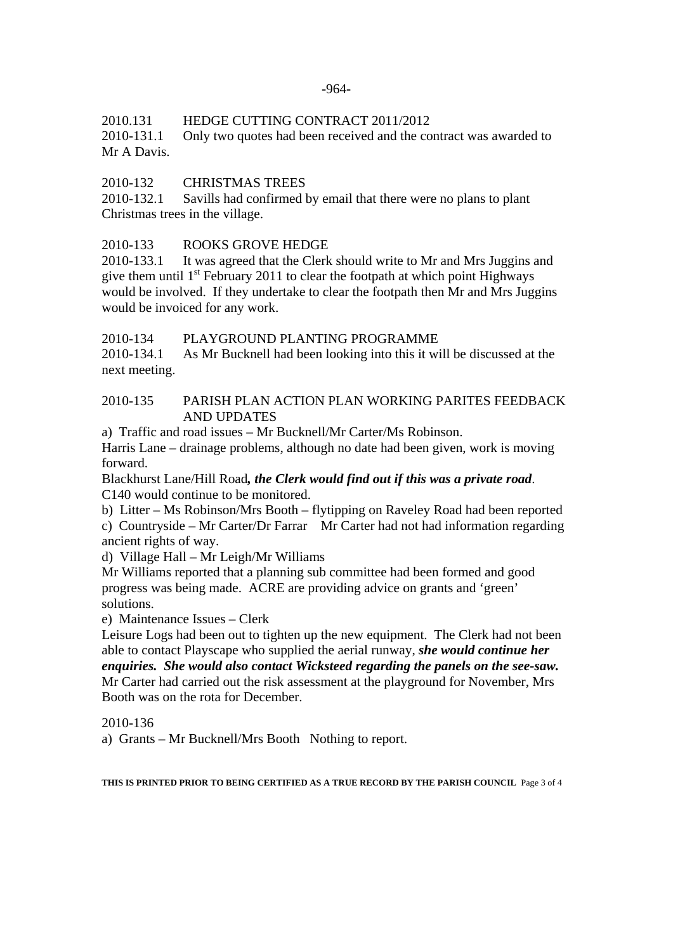2010.131 HEDGE CUTTING CONTRACT 2011/2012

2010-131.1 Only two quotes had been received and the contract was awarded to Mr A Davis.

# 2010-132 CHRISTMAS TREES

2010-132.1 Savills had confirmed by email that there were no plans to plant Christmas trees in the village.

# 2010-133 ROOKS GROVE HEDGE

2010-133.1 It was agreed that the Clerk should write to Mr and Mrs Juggins and give them until  $1<sup>st</sup>$  February 2011 to clear the footpath at which point Highways would be involved. If they undertake to clear the footpath then Mr and Mrs Juggins would be invoiced for any work.

2010-134 PLAYGROUND PLANTING PROGRAMME

2010-134.1 As Mr Bucknell had been looking into this it will be discussed at the next meeting.

## 2010-135 PARISH PLAN ACTION PLAN WORKING PARITES FEEDBACK AND UPDATES

a) Traffic and road issues – Mr Bucknell/Mr Carter/Ms Robinson.

Harris Lane – drainage problems, although no date had been given, work is moving forward.

Blackhurst Lane/Hill Road*, the Clerk would find out if this was a private road*. C140 would continue to be monitored.

b) Litter – Ms Robinson/Mrs Booth – flytipping on Raveley Road had been reported

c) Countryside – Mr Carter/Dr Farrar Mr Carter had not had information regarding ancient rights of way.

d) Village Hall – Mr Leigh/Mr Williams

Mr Williams reported that a planning sub committee had been formed and good progress was being made. ACRE are providing advice on grants and 'green' solutions.

e) Maintenance Issues – Clerk

Leisure Logs had been out to tighten up the new equipment. The Clerk had not been able to contact Playscape who supplied the aerial runway, *she would continue her enquiries. She would also contact Wicksteed regarding the panels on the see-saw.*  Mr Carter had carried out the risk assessment at the playground for November, Mrs Booth was on the rota for December.

2010-136

a) Grants – Mr Bucknell/Mrs Booth Nothing to report.

**THIS IS PRINTED PRIOR TO BEING CERTIFIED AS A TRUE RECORD BY THE PARISH COUNCIL** Page 3 of 4